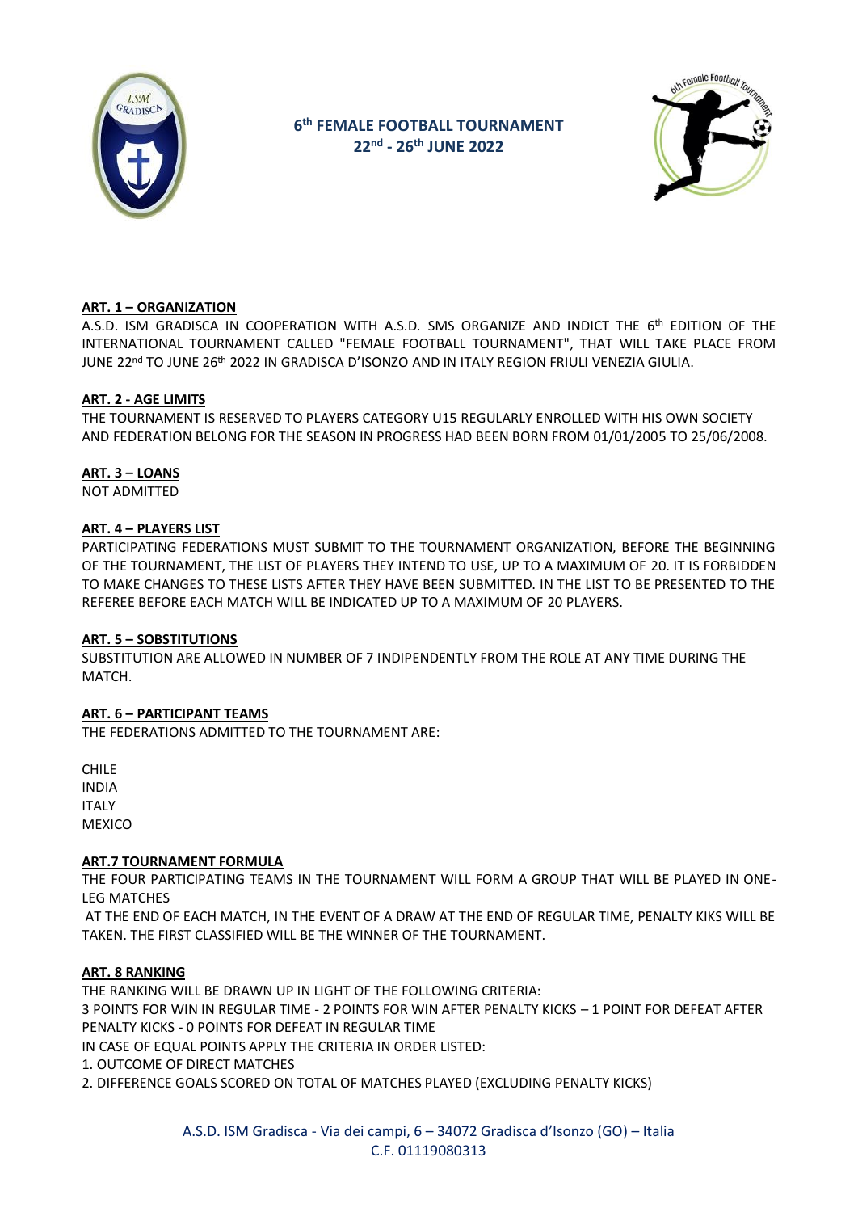

# **6 th FEMALE FOOTBALL TOURNAMENT 22nd - 26th JUNE 2022**



# **ART. 1 – ORGANIZATION**

A.S.D. ISM GRADISCA IN COOPERATION WITH A.S.D. SMS ORGANIZE AND INDICT THE 6<sup>th</sup> EDITION OF THE INTERNATIONAL TOURNAMENT CALLED "FEMALE FOOTBALL TOURNAMENT", THAT WILL TAKE PLACE FROM JUNE 22<u>nd TO JUNE 26th 2022 IN GRADISCA D'ISONZO AND IN ITALY REGION FRIULI VENEZIA GIULIA.</u>

# **ART. 2 - AGE LIMITS**

THE TOURNAMENT IS RESERVED TO PLAYERS CATEGORY U15 REGULARLY ENROLLED WITH HIS OWN SOCIETY AND FEDERATION BELONG FOR THE SEASON IN PROGRESS HAD BEEN BORN FROM 01/01/2005 TO 25/06/2008.

# **ART. 3 – LOANS**

NOT ADMITTED

# **ART. 4 – PLAYERS LIST**

PARTICIPATING FEDERATIONS MUST SUBMIT TO THE TOURNAMENT ORGANIZATION, BEFORE THE BEGINNING OF THE TOURNAMENT, THE LIST OF PLAYERS THEY INTEND TO USE, UP TO A MAXIMUM OF 20. IT IS FORBIDDEN TO MAKE CHANGES TO THESE LISTS AFTER THEY HAVE BEEN SUBMITTED. IN THE LIST TO BE PRESENTED TO THE REFEREE BEFORE EACH MATCH WILL BE INDICATED UP TO A MAXIMUM OF 20 PLAYERS.

# **ART. 5 – SOBSTITUTIONS**

SUBSTITUTION ARE ALLOWED IN NUMBER OF 7 INDIPENDENTLY FROM THE ROLE AT ANY TIME DURING THE MATCH.

# **ART. 6 – PARTICIPANT TEAMS**

THE FEDERATIONS ADMITTED TO THE TOURNAMENT ARE:

CHILE INDIA ITALY **MEXICO** 

# **ART.7 TOURNAMENT FORMULA**

THE FOUR PARTICIPATING TEAMS IN THE TOURNAMENT WILL FORM A GROUP THAT WILL BE PLAYED IN ONE-LEG MATCHES

AT THE END OF EACH MATCH, IN THE EVENT OF A DRAW AT THE END OF REGULAR TIME, PENALTY KIKS WILL BE TAKEN. THE FIRST CLASSIFIED WILL BE THE WINNER OF THE TOURNAMENT.

# **ART. 8 RANKING**

THE RANKING WILL BE DRAWN UP IN LIGHT OF THE FOLLOWING CRITERIA: 3 POINTS FOR WIN IN REGULAR TIME ‐ 2 POINTS FOR WIN AFTER PENALTY KICKS – 1 POINT FOR DEFEAT AFTER PENALTY KICKS - 0 POINTS FOR DEFEAT IN REGULAR TIME

IN CASE OF EQUAL POINTS APPLY THE CRITERIA IN ORDER LISTED:

1. OUTCOME OF DIRECT MATCHES

2. DIFFERENCE GOALS SCORED ON TOTAL OF MATCHES PLAYED (EXCLUDING PENALTY KICKS)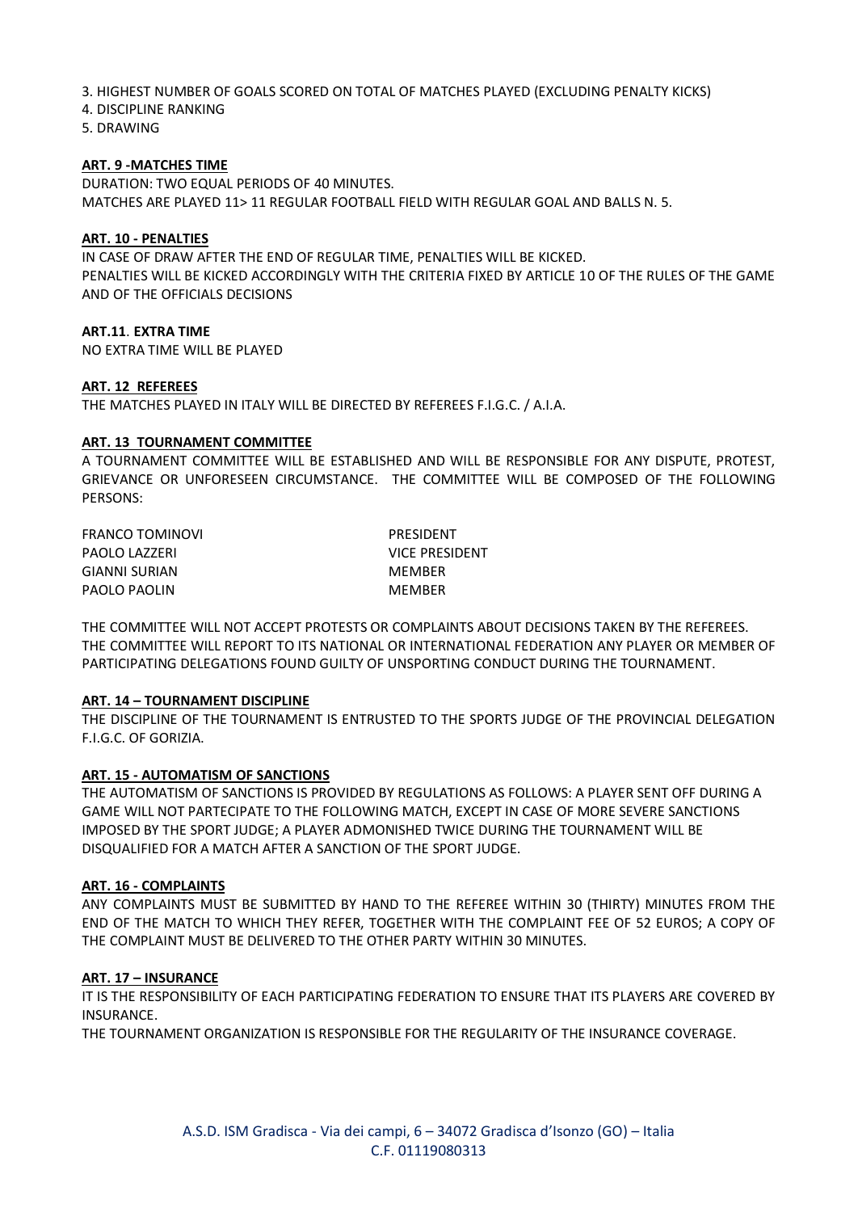3. HIGHEST NUMBER OF GOALS SCORED ON TOTAL OF MATCHES PLAYED (EXCLUDING PENALTY KICKS)

4. DISCIPLINE RANKING

5. DRAWING

### **ART. 9 -MATCHES TIME**

DURATION: TWO EQUAL PERIODS OF 40 MINUTES. MATCHES ARE PLAYED 11> 11 REGULAR FOOTBALL FIELD WITH REGULAR GOAL AND BALLS N. 5.

#### **ART. 10 - PENALTIES**

IN CASE OF DRAW AFTER THE END OF REGULAR TIME, PENALTIES WILL BE KICKED. PENALTIES WILL BE KICKED ACCORDINGLY WITH THE CRITERIA FIXED BY ARTICLE 10 OF THE RULES OF THE GAME AND OF THE OFFICIALS DECISIONS

#### **ART.11**. **EXTRA TIME**

NO EXTRA TIME WILL BE PLAYED

#### **ART. 12 REFEREES**

THE MATCHES PLAYED IN ITALY WILL BE DIRECTED BY REFEREES F.I.G.C. / A.I.A.

#### **ART. 13 TOURNAMENT COMMITTEE**

A TOURNAMENT COMMITTEE WILL BE ESTABLISHED AND WILL BE RESPONSIBLE FOR ANY DISPUTE, PROTEST, GRIEVANCE OR UNFORESEEN CIRCUMSTANCE. THE COMMITTEE WILL BE COMPOSED OF THE FOLLOWING PERSONS:

FRANCO TOMINOVI PRESIDENT PAOLO LAZZERI VICE PRESIDENT GIANNI SURIAN MEMBER PAOLO PAOLIN MEMBER

THE COMMITTEE WILL NOT ACCEPT PROTESTS OR COMPLAINTS ABOUT DECISIONS TAKEN BY THE REFEREES. THE COMMITTEE WILL REPORT TO ITS NATIONAL OR INTERNATIONAL FEDERATION ANY PLAYER OR MEMBER OF PARTICIPATING DELEGATIONS FOUND GUILTY OF UNSPORTING CONDUCT DURING THE TOURNAMENT.

#### **ART. 14 – TOURNAMENT DISCIPLINE**

THE DISCIPLINE OF THE TOURNAMENT IS ENTRUSTED TO THE SPORTS JUDGE OF THE PROVINCIAL DELEGATION F.I.G.C. OF GORIZIA.

#### **ART. 15 - AUTOMATISM OF SANCTIONS**

THE AUTOMATISM OF SANCTIONS IS PROVIDED BY REGULATIONS AS FOLLOWS: A PLAYER SENT OFF DURING A GAME WILL NOT PARTECIPATE TO THE FOLLOWING MATCH, EXCEPT IN CASE OF MORE SEVERE SANCTIONS IMPOSED BY THE SPORT JUDGE; A PLAYER ADMONISHED TWICE DURING THE TOURNAMENT WILL BE DISQUALIFIED FOR A MATCH AFTER A SANCTION OF THE SPORT JUDGE.

#### **ART. 16 - COMPLAINTS**

ANY COMPLAINTS MUST BE SUBMITTED BY HAND TO THE REFEREE WITHIN 30 (THIRTY) MINUTES FROM THE END OF THE MATCH TO WHICH THEY REFER, TOGETHER WITH THE COMPLAINT FEE OF 52 EUROS; A COPY OF THE COMPLAINT MUST BE DELIVERED TO THE OTHER PARTY WITHIN 30 MINUTES.

#### **ART. 17 – INSURANCE**

IT IS THE RESPONSIBILITY OF EACH PARTICIPATING FEDERATION TO ENSURE THAT ITS PLAYERS ARE COVERED BY INSURANCE.

THE TOURNAMENT ORGANIZATION IS RESPONSIBLE FOR THE REGULARITY OF THE INSURANCE COVERAGE.